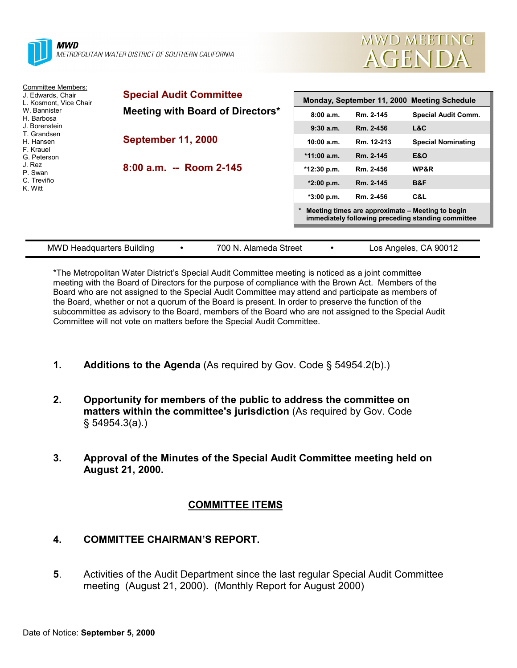



| Committee Members:<br>J. Edwards, Chair<br>L. Kosmont. Vice Chair<br>W. Bannister<br>H. Barbosa<br>J. Borenstein<br>T. Grandsen<br>H. Hansen<br>F. Krauel<br>G. Peterson<br>J. Rez<br>P. Swan<br>C. Treviño<br>K. Witt | <b>Special Audit Committee</b><br>Meeting with Board of Directors* | Monday, September 11, 2000 Meeting Schedule                                                            |            |                            |
|------------------------------------------------------------------------------------------------------------------------------------------------------------------------------------------------------------------------|--------------------------------------------------------------------|--------------------------------------------------------------------------------------------------------|------------|----------------------------|
|                                                                                                                                                                                                                        |                                                                    | 8:00a.m.                                                                                               | Rm. 2-145  | <b>Special Audit Comm.</b> |
|                                                                                                                                                                                                                        | <b>September 11, 2000</b>                                          | 9:30a.m.                                                                                               | Rm. 2-456  | L&C                        |
|                                                                                                                                                                                                                        |                                                                    | 10:00 a.m.                                                                                             | Rm. 12-213 | <b>Special Nominating</b>  |
|                                                                                                                                                                                                                        |                                                                    | $*11:00$ a.m.                                                                                          | Rm. 2-145  | <b>E&amp;O</b>             |
|                                                                                                                                                                                                                        | 8:00 a.m. -- Room 2-145                                            | *12:30 p.m.                                                                                            | Rm. 2-456  | WP&R                       |
|                                                                                                                                                                                                                        |                                                                    | $*2:00$ p.m.                                                                                           | Rm. 2-145  | B&F                        |
|                                                                                                                                                                                                                        |                                                                    | $*3:00 p.m.$                                                                                           | Rm. 2-456  | C&L                        |
|                                                                                                                                                                                                                        |                                                                    | Meeting times are approximate - Meeting to begin<br>immediately following preceding standing committee |            |                            |
|                                                                                                                                                                                                                        |                                                                    |                                                                                                        |            |                            |
| <b>MWD Headquarters Building</b>                                                                                                                                                                                       | 700 N. Alameda Street<br>٠                                         | ٠                                                                                                      |            | Los Angeles, CA 90012      |

\*The Metropolitan Water District's Special Audit Committee meeting is noticed as a joint committee meeting with the Board of Directors for the purpose of compliance with the Brown Act. Members of the Board who are not assigned to the Special Audit Committee may attend and participate as members of the Board, whether or not a quorum of the Board is present. In order to preserve the function of the subcommittee as advisory to the Board, members of the Board who are not assigned to the Special Audit Committee will not vote on matters before the Special Audit Committee.

- **1. Additions to the Agenda** (As required by Gov. Code § 54954.2(b).)
- **2. Opportunity for members of the public to address the committee on matters within the committee's jurisdiction** (As required by Gov. Code § 54954.3(a).)
- **3. Approval of the Minutes of the Special Audit Committee meeting held on August 21, 2000.**

## **COMMITTEE ITEMS**

## **4. COMMITTEE CHAIRMAN'S REPORT.**

**5**. Activities of the Audit Department since the last regular Special Audit Committee meeting (August 21, 2000). (Monthly Report for August 2000)